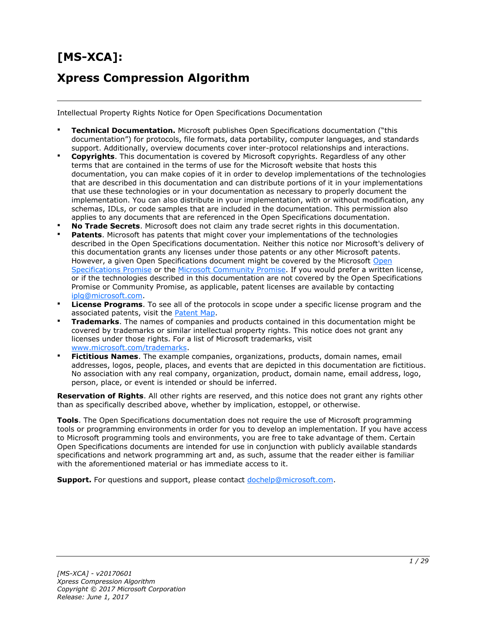# **[MS-XCA]: Xpress Compression Algorithm**

Intellectual Property Rights Notice for Open Specifications Documentation

- **Technical Documentation.** Microsoft publishes Open Specifications documentation ("this documentation") for protocols, file formats, data portability, computer languages, and standards support. Additionally, overview documents cover inter-protocol relationships and interactions.
- **Copyrights**. This documentation is covered by Microsoft copyrights. Regardless of any other terms that are contained in the terms of use for the Microsoft website that hosts this documentation, you can make copies of it in order to develop implementations of the technologies that are described in this documentation and can distribute portions of it in your implementations that use these technologies or in your documentation as necessary to properly document the implementation. You can also distribute in your implementation, with or without modification, any schemas, IDLs, or code samples that are included in the documentation. This permission also applies to any documents that are referenced in the Open Specifications documentation.
- **No Trade Secrets**. Microsoft does not claim any trade secret rights in this documentation.
- **Patents**. Microsoft has patents that might cover your implementations of the technologies described in the Open Specifications documentation. Neither this notice nor Microsoft's delivery of this documentation grants any licenses under those patents or any other Microsoft patents. However, a given [Open](http://go.microsoft.com/fwlink/?LinkId=214445) Specifications document might be covered by the Microsoft Open [Specifications Promise](http://go.microsoft.com/fwlink/?LinkId=214445) or the [Microsoft Community Promise.](http://go.microsoft.com/fwlink/?LinkId=214448) If you would prefer a written license, or if the technologies described in this documentation are not covered by the Open Specifications Promise or Community Promise, as applicable, patent licenses are available by contacting [iplg@microsoft.com.](mailto:iplg@microsoft.com)
- **License Programs**. To see all of the protocols in scope under a specific license program and the associated patents, visit the [Patent Map.](https://msdn.microsoft.com/en-us/openspecifications/dn750984)
- **Trademarks**. The names of companies and products contained in this documentation might be covered by trademarks or similar intellectual property rights. This notice does not grant any licenses under those rights. For a list of Microsoft trademarks, visit [www.microsoft.com/trademarks.](http://www.microsoft.com/trademarks)
- **Fictitious Names**. The example companies, organizations, products, domain names, email addresses, logos, people, places, and events that are depicted in this documentation are fictitious. No association with any real company, organization, product, domain name, email address, logo, person, place, or event is intended or should be inferred.

**Reservation of Rights**. All other rights are reserved, and this notice does not grant any rights other than as specifically described above, whether by implication, estoppel, or otherwise.

**Tools**. The Open Specifications documentation does not require the use of Microsoft programming tools or programming environments in order for you to develop an implementation. If you have access to Microsoft programming tools and environments, you are free to take advantage of them. Certain Open Specifications documents are intended for use in conjunction with publicly available standards specifications and network programming art and, as such, assume that the reader either is familiar with the aforementioned material or has immediate access to it.

**Support.** For questions and support, please contact [dochelp@microsoft.com.](mailto:dochelp@microsoft.com)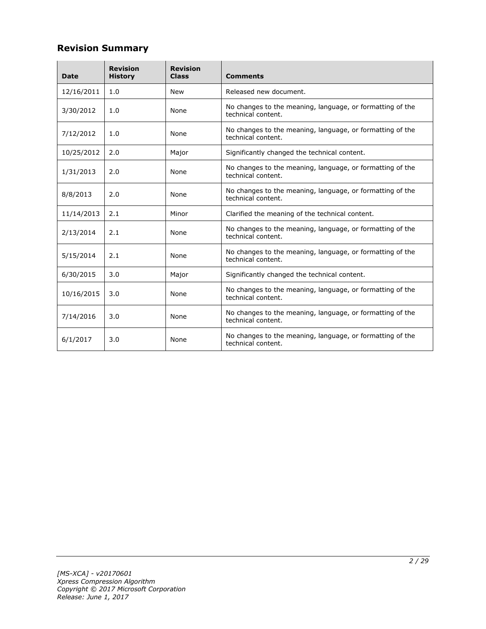#### **Revision Summary**

| <b>Date</b> | <b>Revision</b><br><b>History</b> | <b>Revision</b><br><b>Class</b> | <b>Comments</b>                                                                 |
|-------------|-----------------------------------|---------------------------------|---------------------------------------------------------------------------------|
| 12/16/2011  | 1.0                               | <b>New</b>                      | Released new document.                                                          |
| 3/30/2012   | 1.0                               | None                            | No changes to the meaning, language, or formatting of the<br>technical content. |
| 7/12/2012   | 1.0                               | None                            | No changes to the meaning, language, or formatting of the<br>technical content. |
| 10/25/2012  | 2.0                               | Major                           | Significantly changed the technical content.                                    |
| 1/31/2013   | 2.0                               | None                            | No changes to the meaning, language, or formatting of the<br>technical content. |
| 8/8/2013    | 2.0                               | None                            | No changes to the meaning, language, or formatting of the<br>technical content. |
| 11/14/2013  | 2.1                               | Minor                           | Clarified the meaning of the technical content.                                 |
| 2/13/2014   | 2.1                               | None                            | No changes to the meaning, language, or formatting of the<br>technical content. |
| 5/15/2014   | 2.1                               | None                            | No changes to the meaning, language, or formatting of the<br>technical content. |
| 6/30/2015   | 3.0                               | Major                           | Significantly changed the technical content.                                    |
| 10/16/2015  | 3.0                               | None                            | No changes to the meaning, language, or formatting of the<br>technical content. |
| 7/14/2016   | 3.0                               | None                            | No changes to the meaning, language, or formatting of the<br>technical content. |
| 6/1/2017    | 3.0                               | None                            | No changes to the meaning, language, or formatting of the<br>technical content. |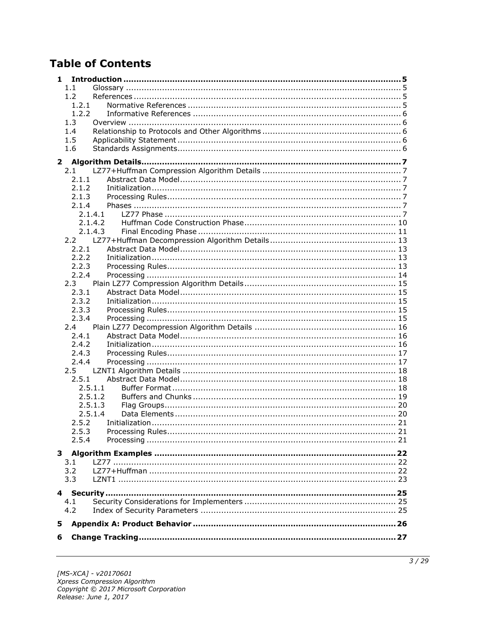## **Table of Contents**

| 1             |                    |  |
|---------------|--------------------|--|
| 1.1           |                    |  |
| 1.2           |                    |  |
|               | 1.2.1              |  |
|               | 1.2.2              |  |
| 1.3           |                    |  |
| 1.4           |                    |  |
| 1.5           |                    |  |
| 1.6           |                    |  |
| $\mathbf{2}$  |                    |  |
| 2.1           |                    |  |
|               | 2.1.1              |  |
|               | 2.1.2              |  |
|               | 2.1.3              |  |
|               | 2.1.4              |  |
|               | 2.1.4.1            |  |
|               | 2.1.4.2            |  |
|               | 2.1.4.3            |  |
|               |                    |  |
|               | 2.2.1              |  |
|               | 2.2.2              |  |
|               | 2.2.3              |  |
|               | 2.2.4              |  |
| 2.3           |                    |  |
| 2.3.1         |                    |  |
|               | 2.3.2              |  |
|               | 2.3.3              |  |
|               | 2.3.4              |  |
| 2.4           |                    |  |
| 2.4.1         |                    |  |
|               | 2.4.2              |  |
|               | 2.4.3              |  |
|               | 2.4.4              |  |
| $2.5^{\circ}$ |                    |  |
|               | 2.5.1              |  |
|               | 2.5.1.1<br>2.5.1.2 |  |
|               | 2.5.1.3            |  |
|               | 2.5.1.4            |  |
|               | 2.5.2              |  |
|               | 2.5.3              |  |
| 2.5.4         |                    |  |
|               |                    |  |
|               |                    |  |
| 3.1           |                    |  |
| 3.2           |                    |  |
| 3.3           |                    |  |
|               |                    |  |
| 4.1           |                    |  |
| 4.2           |                    |  |
|               |                    |  |
| 5             |                    |  |
| 6             |                    |  |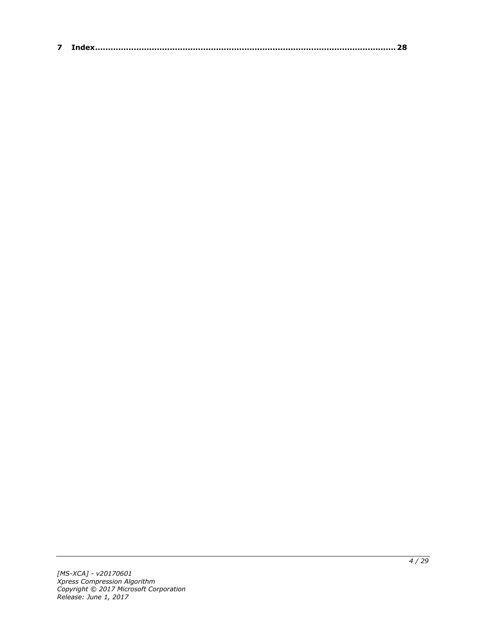| $\sim$ |  |
|--------|--|
|--------|--|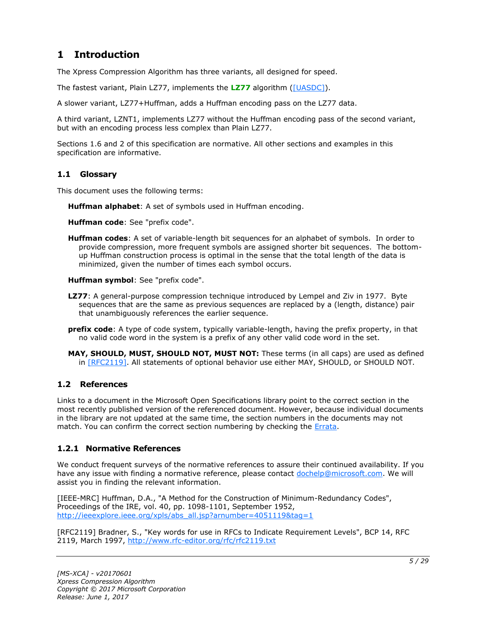### <span id="page-4-0"></span>**1 Introduction**

The Xpress Compression Algorithm has three variants, all designed for speed.

The fastest variant, Plain LZ77, implements the **[LZ77](#page-4-4)** algorithm [\(\[UASDC\]\)](https://go.microsoft.com/fwlink/?LinkId=90549).

A slower variant, LZ77+Huffman, adds a Huffman encoding pass on the LZ77 data.

A third variant, LZNT1, implements LZ77 without the Huffman encoding pass of the second variant, but with an encoding process less complex than Plain LZ77.

Sections 1.6 and 2 of this specification are normative. All other sections and examples in this specification are informative.

#### <span id="page-4-1"></span>**1.1 Glossary**

This document uses the following terms:

<span id="page-4-7"></span>**Huffman alphabet**: A set of symbols used in Huffman encoding.

<span id="page-4-8"></span>**Huffman code**: See "prefix code".

<span id="page-4-6"></span>**Huffman codes**: A set of variable-length bit sequences for an alphabet of symbols. In order to provide compression, more frequent symbols are assigned shorter bit sequences. The bottomup Huffman construction process is optimal in the sense that the total length of the data is minimized, given the number of times each symbol occurs.

<span id="page-4-9"></span>**Huffman symbol**: See "prefix code".

- <span id="page-4-4"></span>**LZ77**: A general-purpose compression technique introduced by Lempel and Ziv in 1977. Byte sequences that are the same as previous sequences are replaced by a (length, distance) pair that unambiguously references the earlier sequence.
- <span id="page-4-5"></span>**prefix code**: A type of code system, typically variable-length, having the prefix property, in that no valid code word in the system is a prefix of any other valid code word in the set.
- **MAY, SHOULD, MUST, SHOULD NOT, MUST NOT:** These terms (in all caps) are used as defined in [\[RFC2119\].](https://go.microsoft.com/fwlink/?LinkId=90317) All statements of optional behavior use either MAY, SHOULD, or SHOULD NOT.

#### <span id="page-4-2"></span>**1.2 References**

Links to a document in the Microsoft Open Specifications library point to the correct section in the most recently published version of the referenced document. However, because individual documents in the library are not updated at the same time, the section numbers in the documents may not match. You can confirm the correct section numbering by checking the [Errata.](http://msdn.microsoft.com/en-us/library/dn781092.aspx)

#### <span id="page-4-3"></span>**1.2.1 Normative References**

We conduct frequent surveys of the normative references to assure their continued availability. If you have any issue with finding a normative reference, please contact [dochelp@microsoft.com.](mailto:dochelp@microsoft.com) We will assist you in finding the relevant information.

[IEEE-MRC] Huffman, D.A., "A Method for the Construction of Minimum-Redundancy Codes", Proceedings of the IRE, vol. 40, pp. 1098-1101, September 1952, [http://ieeexplore.ieee.org/xpls/abs\\_all.jsp?arnumber=4051119&tag=1](https://go.microsoft.com/fwlink/?LinkId=227659)

[RFC2119] Bradner, S., "Key words for use in RFCs to Indicate Requirement Levels", BCP 14, RFC 2119, March 1997, [http://www.rfc-editor.org/rfc/rfc2119.txt](https://go.microsoft.com/fwlink/?LinkId=90317)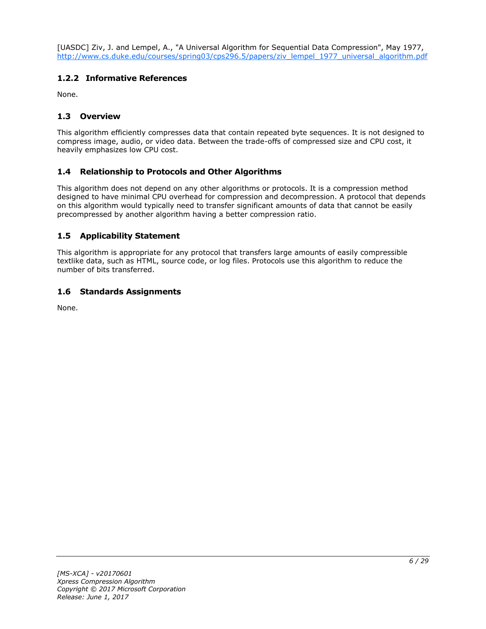[UASDC] Ziv, J. and Lempel, A., "A Universal Algorithm for Sequential Data Compression", May 1977, [http://www.cs.duke.edu/courses/spring03/cps296.5/papers/ziv\\_lempel\\_1977\\_universal\\_algorithm.pdf](https://go.microsoft.com/fwlink/?LinkId=90549)

#### <span id="page-5-0"></span>**1.2.2 Informative References**

None.

#### <span id="page-5-1"></span>**1.3 Overview**

This algorithm efficiently compresses data that contain repeated byte sequences. It is not designed to compress image, audio, or video data. Between the trade-offs of compressed size and CPU cost, it heavily emphasizes low CPU cost.

#### <span id="page-5-2"></span>**1.4 Relationship to Protocols and Other Algorithms**

This algorithm does not depend on any other algorithms or protocols. It is a compression method designed to have minimal CPU overhead for compression and decompression. A protocol that depends on this algorithm would typically need to transfer significant amounts of data that cannot be easily precompressed by another algorithm having a better compression ratio.

#### <span id="page-5-3"></span>**1.5 Applicability Statement**

This algorithm is appropriate for any protocol that transfers large amounts of easily compressible textlike data, such as HTML, source code, or log files. Protocols use this algorithm to reduce the number of bits transferred.

#### <span id="page-5-4"></span>**1.6 Standards Assignments**

None.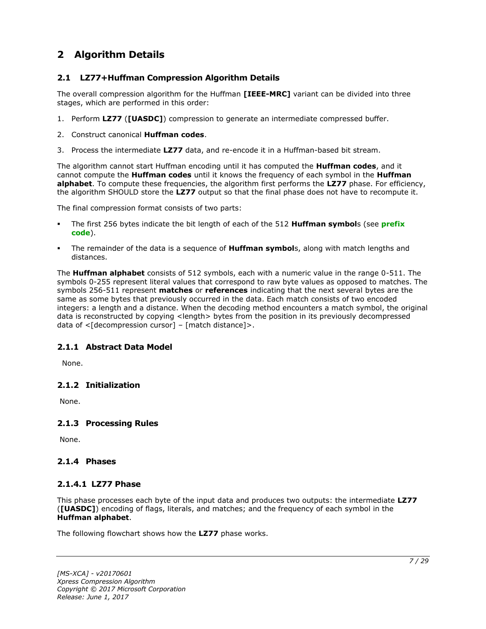### <span id="page-6-0"></span>**2 Algorithm Details**

#### <span id="page-6-1"></span>**2.1 LZ77+Huffman Compression Algorithm Details**

The overall compression algorithm for the Huffman **[IEEE-MRC]** variant can be divided into three stages, which are performed in this order:

- 1. Perform **LZ77** (**[UASDC]**) compression to generate an intermediate compressed buffer.
- 2. Construct canonical **Huffman codes**.
- 3. Process the intermediate **LZ77** data, and re-encode it in a Huffman-based bit stream.

The algorithm cannot start Huffman encoding until it has computed the **Huffman codes**, and it cannot compute the **Huffman codes** until it knows the frequency of each symbol in the **Huffman alphabet**. To compute these frequencies, the algorithm first performs the **LZ77** phase. For efficiency, the algorithm SHOULD store the **LZ77** output so that the final phase does not have to recompute it.

The final compression format consists of two parts:

- The first 256 bytes indicate the bit length of each of the 512 **Huffman symbol**s (see **[prefix](#page-4-5)  [code](#page-4-5)**).
- The remainder of the data is a sequence of **Huffman symbol**s, along with match lengths and distances.

The **Huffman alphabet** consists of 512 symbols, each with a numeric value in the range 0-511. The symbols 0-255 represent literal values that correspond to raw byte values as opposed to matches. The symbols 256-511 represent **matches** or **references** indicating that the next several bytes are the same as some bytes that previously occurred in the data. Each match consists of two encoded integers: a length and a distance. When the decoding method encounters a match symbol, the original data is reconstructed by copying <length> bytes from the position in its previously decompressed data of  $\leq$ [decompression cursor] – [match distance]>.

#### <span id="page-6-2"></span>**2.1.1 Abstract Data Model**

None.

#### <span id="page-6-3"></span>**2.1.2 Initialization**

None.

#### <span id="page-6-4"></span>**2.1.3 Processing Rules**

None.

#### <span id="page-6-5"></span>**2.1.4 Phases**

#### <span id="page-6-6"></span>**2.1.4.1 LZ77 Phase**

This phase processes each byte of the input data and produces two outputs: the intermediate **LZ77** (**[UASDC]**) encoding of flags, literals, and matches; and the frequency of each symbol in the **Huffman alphabet**.

The following flowchart shows how the **LZ77** phase works.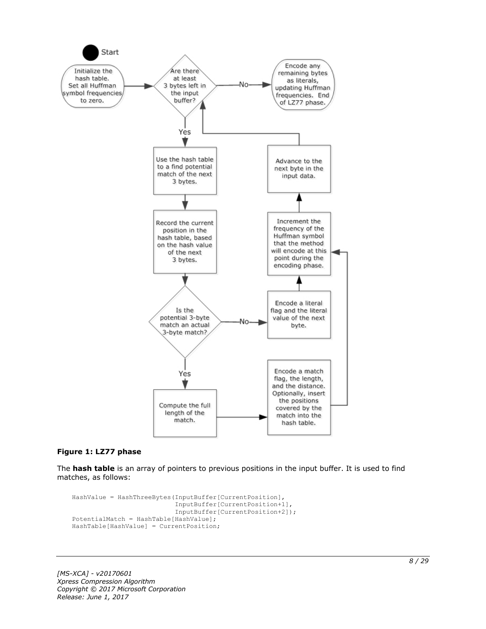

#### **Figure 1: LZ77 phase**

The **hash table** is an array of pointers to previous positions in the input buffer. It is used to find matches, as follows:

```
HashValue = HashThreeBytes(InputBuffer[CurrentPosition],
                            InputBuffer[CurrentPosition+1],
                            InputBuffer[CurrentPosition+2]);
PotentialMatch = HashTable[HashValue];
HashTable[HashValue] = CurrentPosition;
```
*[MS-XCA] - v20170601 Xpress Compression Algorithm Copyright © 2017 Microsoft Corporation Release: June 1, 2017*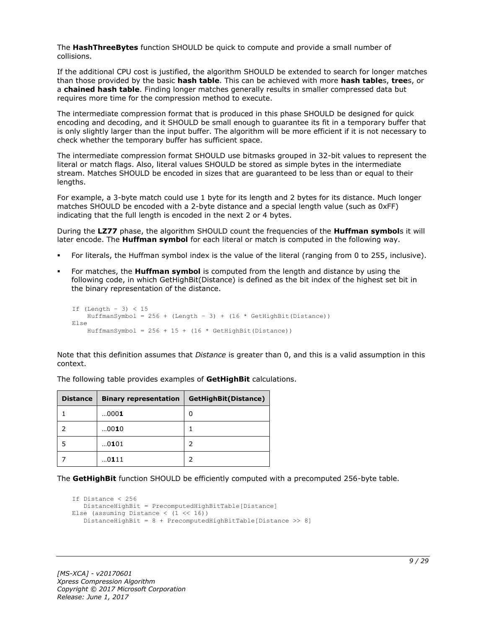The **HashThreeBytes** function SHOULD be quick to compute and provide a small number of collisions.

If the additional CPU cost is justified, the algorithm SHOULD be extended to search for longer matches than those provided by the basic **hash table**. This can be achieved with more **hash table**s, **tree**s, or a **chained hash table**. Finding longer matches generally results in smaller compressed data but requires more time for the compression method to execute.

The intermediate compression format that is produced in this phase SHOULD be designed for quick encoding and decoding, and it SHOULD be small enough to guarantee its fit in a temporary buffer that is only slightly larger than the input buffer. The algorithm will be more efficient if it is not necessary to check whether the temporary buffer has sufficient space.

The intermediate compression format SHOULD use bitmasks grouped in 32-bit values to represent the literal or match flags. Also, literal values SHOULD be stored as simple bytes in the intermediate stream. Matches SHOULD be encoded in sizes that are guaranteed to be less than or equal to their lengths.

For example, a 3-byte match could use 1 byte for its length and 2 bytes for its distance. Much longer matches SHOULD be encoded with a 2-byte distance and a special length value (such as 0xFF) indicating that the full length is encoded in the next 2 or 4 bytes.

During the **LZ77** phase, the algorithm SHOULD count the frequencies of the **Huffman symbol**s it will later encode. The **Huffman symbol** for each literal or match is computed in the following way.

- For literals, the Huffman symbol index is the value of the literal (ranging from 0 to 255, inclusive).
- For matches, the **Huffman symbol** is computed from the length and distance by using the following code, in which GetHighBit(Distance) is defined as the bit index of the highest set bit in the binary representation of the distance.

```
If (Lenqth - 3) < 15HuffmanSymbol = 256 + (Length - 3) + (16 * GetHighBit(Distance))Else
    HuffmanSymbol = 256 + 15 + (16 * \text{GetHighBit}(\text{Distance}))
```
Note that this definition assumes that *Distance* is greater than 0, and this is a valid assumption in this context.

| <b>Distance</b> | <b>Binary representation</b> | GetHighBit(Distance) |
|-----------------|------------------------------|----------------------|
|                 | 0001                         | 0                    |
|                 | 0010                         |                      |
|                 | 0101                         |                      |
|                 | 0111                         |                      |

The following table provides examples of **GetHighBit** calculations.

The **GetHighBit** function SHOULD be efficiently computed with a precomputed 256-byte table.

```
If Distance < 256
    DistanceHighBit = PrecomputedHighBitTable[Distance]
Else (assuming Distance \langle (1 \langle 16))
    DistanceHighBit = 8 + PrecomputedHighBitTable[Distance >> 8]
```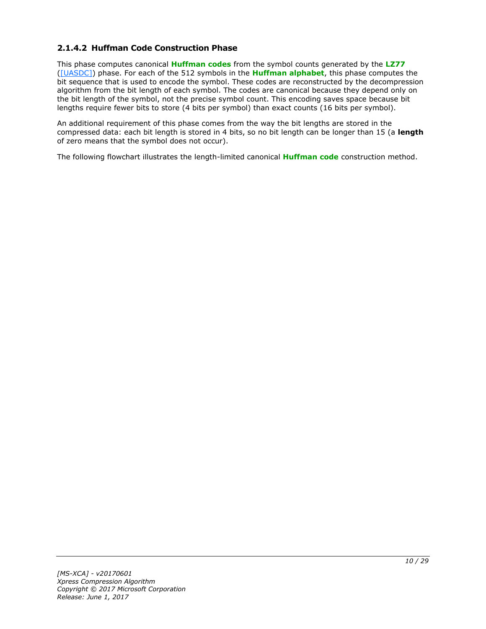#### <span id="page-9-0"></span>**2.1.4.2 Huffman Code Construction Phase**

This phase computes canonical **[Huffman codes](#page-4-6)** from the symbol counts generated by the **[LZ77](#page-4-4)** [\(\[UASDC\]\)](https://go.microsoft.com/fwlink/?LinkId=90549) phase. For each of the 512 symbols in the **[Huffman alphabet](#page-4-7)**, this phase computes the bit sequence that is used to encode the symbol. These codes are reconstructed by the decompression algorithm from the bit length of each symbol. The codes are canonical because they depend only on the bit length of the symbol, not the precise symbol count. This encoding saves space because bit lengths require fewer bits to store (4 bits per symbol) than exact counts (16 bits per symbol).

An additional requirement of this phase comes from the way the bit lengths are stored in the compressed data: each bit length is stored in 4 bits, so no bit length can be longer than 15 (a **length** of zero means that the symbol does not occur).

The following flowchart illustrates the length-limited canonical **[Huffman code](#page-4-8)** construction method.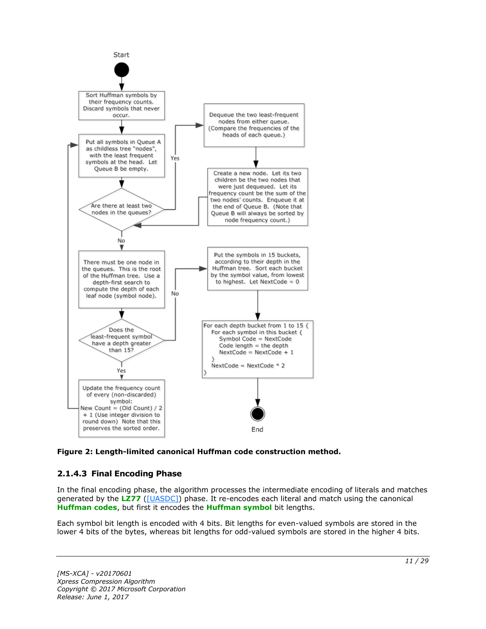

**Figure 2: Length-limited canonical Huffman code construction method.**

### <span id="page-10-0"></span>**2.1.4.3 Final Encoding Phase**

In the final encoding phase, the algorithm processes the intermediate encoding of literals and matches generated by the **[LZ77](#page-4-4)** [\(\[UASDC\]\)](https://go.microsoft.com/fwlink/?LinkId=90549) phase. It re-encodes each literal and match using the canonical **[Huffman codes](#page-4-6)**, but first it encodes the **[Huffman symbol](#page-4-9)** bit lengths.

Each symbol bit length is encoded with 4 bits. Bit lengths for even-valued symbols are stored in the lower 4 bits of the bytes, whereas bit lengths for odd-valued symbols are stored in the higher 4 bits.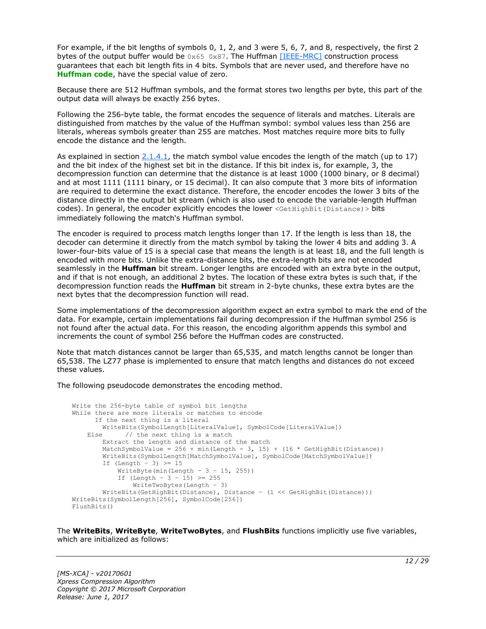For example, if the bit lengths of symbols 0, 1, 2, and 3 were 5, 6, 7, and 8, respectively, the first 2 bytes of the output buffer would be  $0 \times 65$  0x87. The Huffman [\[IEEE-MRC\]](https://go.microsoft.com/fwlink/?LinkId=227659) construction process guarantees that each bit length fits in 4 bits. Symbols that are never used, and therefore have no **[Huffman code](#page-4-8)**, have the special value of zero.

Because there are 512 Huffman symbols, and the format stores two lengths per byte, this part of the output data will always be exactly 256 bytes.

Following the 256-byte table, the format encodes the sequence of literals and matches. Literals are distinguished from matches by the value of the Huffman symbol: symbol values less than 256 are literals, whereas symbols greater than 255 are matches. Most matches require more bits to fully encode the distance and the length.

As explained in section  $2.1.4.1$ , the match symbol value encodes the length of the match (up to 17) and the bit index of the highest set bit in the distance. If this bit index is, for example, 3, the decompression function can determine that the distance is at least 1000 (1000 binary, or 8 decimal) and at most 1111 (1111 binary, or 15 decimal). It can also compute that 3 more bits of information are required to determine the exact distance. Therefore, the encoder encodes the lower 3 bits of the distance directly in the output bit stream (which is also used to encode the variable-length Huffman codes). In general, the encoder explicitly encodes the lower <GetHighBit(Distance) > bits immediately following the match's Huffman symbol.

The encoder is required to process match lengths longer than 17. If the length is less than 18, the decoder can determine it directly from the match symbol by taking the lower 4 bits and adding 3. A lower-four-bits value of 15 is a special case that means the length is at least 18, and the full length is encoded with more bits. Unlike the extra-distance bits, the extra-length bits are not encoded seamlessly in the **Huffman** bit stream. Longer lengths are encoded with an extra byte in the output, and if that is not enough, an additional 2 bytes. The location of these extra bytes is such that, if the decompression function reads the **Huffman** bit stream in 2-byte chunks, these extra bytes are the next bytes that the decompression function will read.

Some implementations of the decompression algorithm expect an extra symbol to mark the end of the data. For example, certain implementations fail during decompression if the Huffman symbol 256 is not found after the actual data. For this reason, the encoding algorithm appends this symbol and increments the count of symbol 256 before the Huffman codes are constructed.

Note that match distances cannot be larger than 65,535, and match lengths cannot be longer than 65,538. The LZ77 phase is implemented to ensure that match lengths and distances do not exceed these values.

The following pseudocode demonstrates the encoding method.

```
Write the 256-byte table of symbol bit lengths
While there are more literals or matches to encode
       If the next thing is a literal
         WriteBits(SymbolLength[LiteralValue], SymbolCode[LiteralValue])
    Else // the next thing is a match
         Extract the length and distance of the match
        MatchSymbolValue = 256 + min(Length - 3, 15) + (16 * GetHighBit(Distance)) WriteBits(SymbolLength[MatchSymbolValue], SymbolCode[MatchSymbolValue])
        If (Length - 3) \geq 15
            WriteByte(min(Length - 3 - 15, 255))
            If (Length - 3 - 15) >= 255
                WriteTwoBytes(Length – 3)
         WriteBits(GetHighBit(Distance), Distance – (1 << GetHighBit(Distance)))
WriteBits(SymbolLength[256], SymbolCode[256])
FlushBits()
```
The **WriteBits**, **WriteByte**, **WriteTwoBytes**, and **FlushBits** functions implicitly use five variables, which are initialized as follows: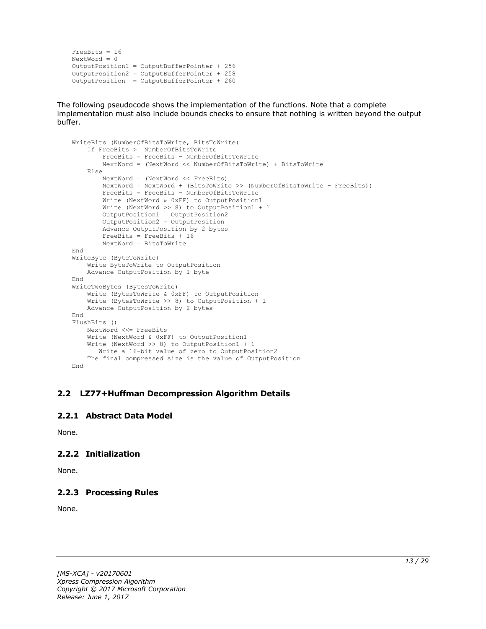```
FreeBits = 16
NextWord = 0OutputPosition1 = OutputBufferPointer + 256
OutputPosition2 = OutputBufferPointer + 258 
OutputPosition = OutputBufferPointer + 260
```
The following pseudocode shows the implementation of the functions. Note that a complete implementation must also include bounds checks to ensure that nothing is written beyond the output buffer.

```
WriteBits (NumberOfBitsToWrite, BitsToWrite)
     If FreeBits >= NumberOfBitsToWrite
         FreeBits = FreeBits – NumberOfBitsToWrite
         NextWord = (NextWord << NumberOfBitsToWrite) + BitsToWrite
     Else
         NextWord = (NextWord << FreeBits)
         NextWord = NextWord + (BitsToWrite >> (NumberOfBitsToWrite – FreeBits))
         FreeBits = FreeBits – NumberOfBitsToWrite
         Write (NextWord & 0xFF) to OutputPosition1
         Write (NextWord >> 8) to OutputPosition1 + 1
         OutputPosition1 = OutputPosition2
         OutputPosition2 = OutputPosition
         Advance OutputPosition by 2 bytes
         FreeBits = FreeBits + 16
         NextWord = BitsToWrite
End
WriteByte (ByteToWrite)
    Write ByteToWrite to OutputPosition
     Advance OutputPosition by 1 byte
End
WriteTwoBytes (BytesToWrite)
     Write (BytesToWrite & 0xFF) to OutputPosition
     Write (BytesToWrite >> 8) to OutputPosition + 1
    Advance OutputPosition by 2 bytes
End
FlushBits ()
     NextWord <<= FreeBits
     Write (NextWord & 0xFF) to OutputPosition1
     Write (NextWord >> 8) to OutputPosition1 + 1
       Write a 16-bit value of zero to OutputPosition2
     The final compressed size is the value of OutputPosition
End
```
#### <span id="page-12-0"></span>**2.2 LZ77+Huffman Decompression Algorithm Details**

#### <span id="page-12-1"></span>**2.2.1 Abstract Data Model**

None.

#### <span id="page-12-2"></span>**2.2.2 Initialization**

None.

#### <span id="page-12-3"></span>**2.2.3 Processing Rules**

None.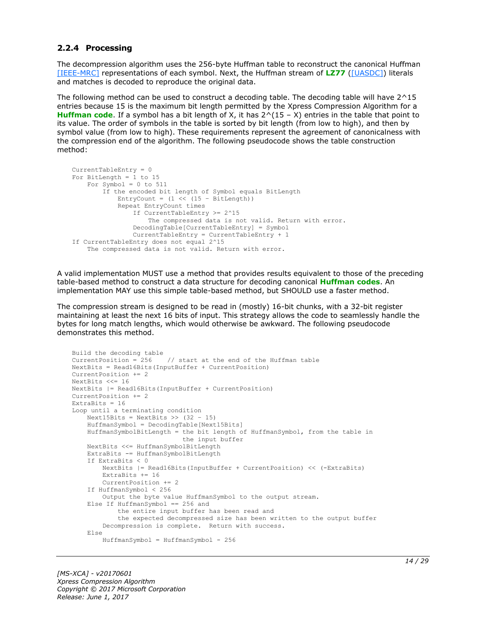#### <span id="page-13-0"></span>**2.2.4 Processing**

The decompression algorithm uses the 256-byte Huffman table to reconstruct the canonical Huffman [\[IEEE-MRC\]](https://go.microsoft.com/fwlink/?LinkId=227659) representations of each symbol. Next, the Huffman stream of **[LZ77](#page-4-4)** [\(\[UASDC\]\)](https://go.microsoft.com/fwlink/?LinkId=90549) literals and matches is decoded to reproduce the original data.

The following method can be used to construct a decoding table. The decoding table will have 2^15 entries because 15 is the maximum bit length permitted by the Xpress Compression Algorithm for a **[Huffman code](#page-4-8)**. If a symbol has a bit length of X, it has 2^(15 – X) entries in the table that point to its value. The order of symbols in the table is sorted by bit length (from low to high), and then by symbol value (from low to high). These requirements represent the agreement of canonicalness with the compression end of the algorithm. The following pseudocode shows the table construction method:

```
CurrentTableEntry = 0
For BitLength = 1 to 15
     For Symbol = 0 to 511
         If the encoded bit length of Symbol equals BitLength
            EntryCount = (1 \ll (15 - \text{BitLength})) Repeat EntryCount times
                 If CurrentTableEntry >= 2^15
                     The compressed data is not valid. Return with error.
                 DecodingTable[CurrentTableEntry] = Symbol
                 CurrentTableEntry = CurrentTableEntry + 1
If CurrentTableEntry does not equal 2^15
     The compressed data is not valid. Return with error.
```
A valid implementation MUST use a method that provides results equivalent to those of the preceding table-based method to construct a data structure for decoding canonical **[Huffman codes](#page-4-6)**. An implementation MAY use this simple table-based method, but SHOULD use a faster method.

The compression stream is designed to be read in (mostly) 16-bit chunks, with a 32-bit register maintaining at least the next 16 bits of input. This strategy allows the code to seamlessly handle the bytes for long match lengths, which would otherwise be awkward. The following pseudocode demonstrates this method.

```
Build the decoding table
CurrentPosition = 256 // start at the end of the Huffman table
NextBits = Read16Bits(InputBuffer + CurrentPosition)
CurrentPosition += 2
NextBits <<= 16
NextBits |= Read16Bits(InputBuffer + CurrentPosition)
CurrentPosition += 2
ExtraBits = 16Loop until a terminating condition
    Next15Bits = NextBits \gg (32 - 15)
     HuffmanSymbol = DecodingTable[Next15Bits]
     HuffmanSymbolBitLength = the bit length of HuffmanSymbol, from the table in
                              the input buffer
     NextBits <<= HuffmanSymbolBitLength
     ExtraBits -= HuffmanSymbolBitLength
     If ExtraBits < 0
         NextBits |= Read16Bits(InputBuffer + CurrentPosition) << (-ExtraBits)
         ExtraBits += 16
         CurrentPosition += 2
     If HuffmanSymbol < 256
        Output the byte value HuffmanSymbol to the output stream.
     Else If HuffmanSymbol == 256 and
             the entire input buffer has been read and
             the expected decompressed size has been written to the output buffer
         Decompression is complete. Return with success.
     Else
         HuffmanSymbol = HuffmanSymbol - 256
```
*[MS-XCA] - v20170601 Xpress Compression Algorithm Copyright © 2017 Microsoft Corporation Release: June 1, 2017*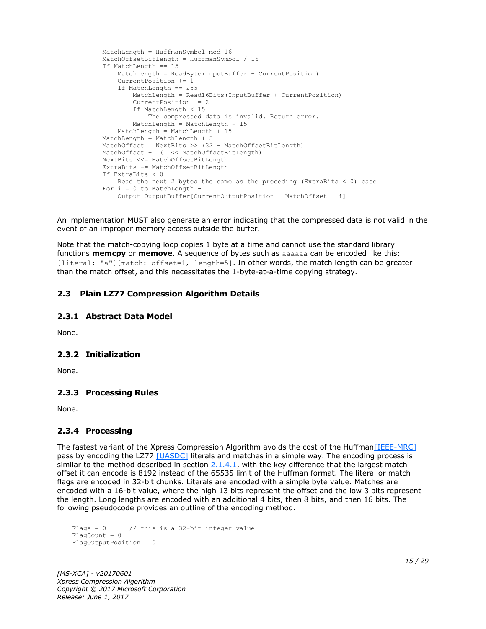```
 MatchLength = HuffmanSymbol mod 16
 MatchOffsetBitLength = HuffmanSymbol / 16
 If MatchLength == 15
    MatchLength = ReadByte(InputBuffer + CurrentPosition)
     CurrentPosition += 1
     If MatchLength == 255
        MatchLength = Read16Bits(InputBuffer + CurrentPosition)
         CurrentPosition += 2
         If MatchLength < 15
             The compressed data is invalid. Return error.
       MatchLength = MatchLength - 15
     MatchLength = MatchLength + 15
 MatchLength = MatchLength + 3
MatchOffset = NextBits >> (32 - \text{MatchOffsetBitLength}) MatchOffset += (1 << MatchOffsetBitLength)
 NextBits <<= MatchOffsetBitLength
 ExtraBits -= MatchOffsetBitLength
 If ExtraBits < 0
    Read the next 2 bytes the same as the preceding (ExtraBits < 0) case
For i = 0 to MatchLength - 1
     Output OutputBuffer[CurrentOutputPosition – MatchOffset + i]
```
An implementation MUST also generate an error indicating that the compressed data is not valid in the event of an improper memory access outside the buffer.

Note that the match-copying loop copies 1 byte at a time and cannot use the standard library functions **memcpy** or **memove**. A sequence of bytes such as aaaaaa can be encoded like this: [literal: "a"][match: offset=1, length=5]. In other words, the match length can be greater than the match offset, and this necessitates the 1-byte-at-a-time copying strategy.

#### <span id="page-14-0"></span>**2.3 Plain LZ77 Compression Algorithm Details**

#### <span id="page-14-1"></span>**2.3.1 Abstract Data Model**

None.

#### <span id="page-14-2"></span>**2.3.2 Initialization**

None.

#### <span id="page-14-3"></span>**2.3.3 Processing Rules**

None.

#### <span id="page-14-4"></span>**2.3.4 Processing**

The fastest variant of the Xpress Compression Algorithm avoids the cost of the Huffman [IEEE-MRC] pass by encoding the LZ77 [\[UASDC\]](https://go.microsoft.com/fwlink/?LinkId=90549) literals and matches in a simple way. The encoding process is similar to the method described in section  $2.1.4.1$ , with the key difference that the largest match offset it can encode is 8192 instead of the 65535 limit of the Huffman format. The literal or match flags are encoded in 32-bit chunks. Literals are encoded with a simple byte value. Matches are encoded with a 16-bit value, where the high 13 bits represent the offset and the low 3 bits represent the length. Long lengths are encoded with an additional 4 bits, then 8 bits, and then 16 bits. The following pseudocode provides an outline of the encoding method.

```
Flags = 0 // this is a 32-bit integer value
Fla<sub>0</sub>Count = 0
FlagOutputPosition = 0
```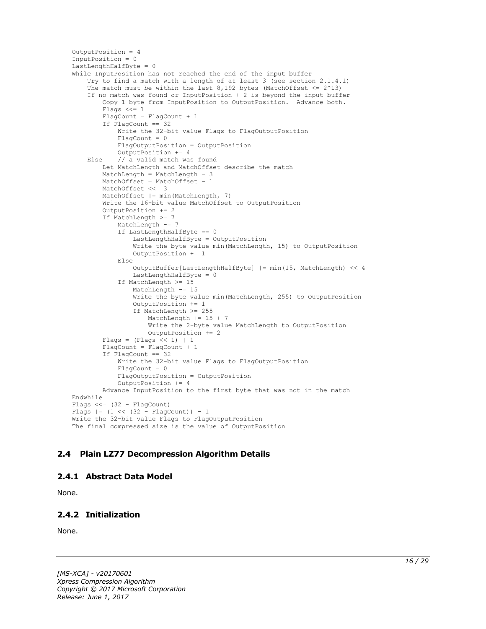```
OutputPosition = 4
InputPosition = 0
LastLengthHalfByte = 0
While InputPosition has not reached the end of the input buffer
     Try to find a match with a length of at least 3 (see section 2.1.4.1)
    The match must be within the last 8,192 bytes (MatchOffset \leq 2^13)
     If no match was found or InputPosition + 2 is beyond the input buffer
         Copy 1 byte from InputPosition to OutputPosition. Advance both.
         Flags <<= 1
        FlagCount = FlagCount + 1 If FlagCount == 32
            Write the 32-bit value Flags to FlagOutputPosition
             FlagCount = 0
             FlagOutputPosition = OutputPosition
             OutputPosition += 4
     Else // a valid match was found
         Let MatchLength and MatchOffset describe the match
         MatchLength = MatchLength – 3
         MatchOffset = MatchOffset – 1
         MatchOffset <<= 3
         MatchOffset |= min(MatchLength, 7)
         Write the 16-bit value MatchOffset to OutputPosition
         OutputPosition += 2
         If MatchLength >= 7
             MatchLength -= 7
             If LastLengthHalfByte == 0
                 LastLengthHalfByte = OutputPosition
                Write the byte value min(MatchLength, 15) to OutputPosition
                 OutputPosition += 1
             Else
                 OutputBuffer[LastLengthHalfByte] |= min(15, MatchLength) << 4
                LastLengthHalfByte = 0
             If MatchLength >= 15
                 MatchLength -= 15
                 Write the byte value min(MatchLength, 255) to OutputPosition
                 OutputPosition += 1
                If MatchLength >= 255
                     MatchLength += 15 + 7
                    Write the 2-byte value MatchLength to OutputPosition
                     OutputPosition += 2
        Flags = (Flags << 1) | 1 FlagCount = FlagCount + 1
         If FlagCount == 32
             Write the 32-bit value Flags to FlagOutputPosition
            FlaqCount = 0
             FlagOutputPosition = OutputPosition
             OutputPosition += 4
         Advance InputPosition to the first byte that was not in the match
Endwhile
Flags <<= (32 – FlagCount)
Flags |= (1 \lt\lt (32 - \text{FlagCount})) - 1Write the 32-bit value Flags to FlagOutputPosition
The final compressed size is the value of OutputPosition
```
#### <span id="page-15-0"></span>**2.4 Plain LZ77 Decompression Algorithm Details**

#### <span id="page-15-1"></span>**2.4.1 Abstract Data Model**

None.

#### <span id="page-15-2"></span>**2.4.2 Initialization**

None.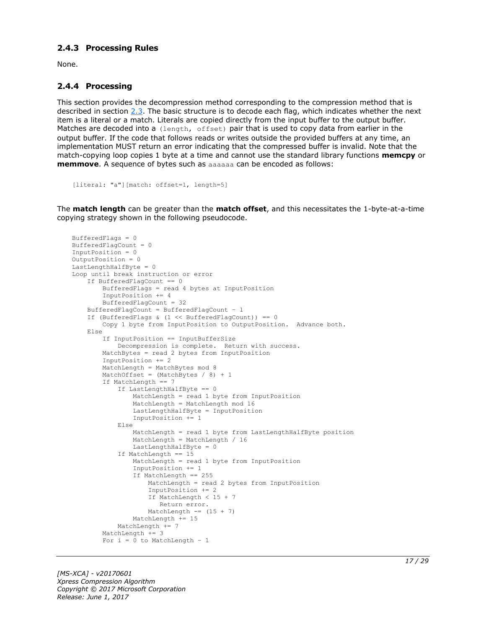#### <span id="page-16-0"></span>**2.4.3 Processing Rules**

None.

#### <span id="page-16-1"></span>**2.4.4 Processing**

This section provides the decompression method corresponding to the compression method that is described in section [2.3.](#page-14-0) The basic structure is to decode each flag, which indicates whether the next item is a literal or a match. Literals are copied directly from the input buffer to the output buffer. Matches are decoded into a (length, offset) pair that is used to copy data from earlier in the output buffer. If the code that follows reads or writes outside the provided buffers at any time, an implementation MUST return an error indicating that the compressed buffer is invalid. Note that the match-copying loop copies 1 byte at a time and cannot use the standard library functions **memcpy** or **memmove**. A sequence of bytes such as aaaaaa can be encoded as follows:

```
[literal: "a"][match: offset=1, length=5]
```
The **match length** can be greater than the **match offset**, and this necessitates the 1-byte-at-a-time copying strategy shown in the following pseudocode.

```
BufferedFlags = 0
BufferedFlagCount = 0
InputPosition = 0
OutputPosition = 0
LastLengthHalfByte = 0Loop until break instruction or error
     If BufferedFlagCount == 0
         BufferedFlags = read 4 bytes at InputPosition
         InputPosition += 4
         BufferedFlagCount = 32
     BufferedFlagCount = BufferedFlagCount – 1
    If (BufferedFlags & (1 \leq \text{BufferedFlagCount})) == 0
         Copy 1 byte from InputPosition to OutputPosition. Advance both.
     Else
         If InputPosition == InputBufferSize
             Decompression is complete. Return with success.
         MatchBytes = read 2 bytes from InputPosition
         InputPosition += 2
        MatchLength = MatchBytes mod 8
        MatchOffset = (MatchBytes / 8) + 1 If MatchLength == 7
             If LastLengthHalfByte == 0
                 MatchLength = read 1 byte from InputPosition
                 MatchLength = MatchLength mod 16
                LastLengthHalfByte = InputPosition
                 InputPosition += 1
             Else
                 MatchLength = read 1 byte from LastLengthHalfByte position
                 MatchLength = MatchLength / 16
                LastLengthHalfByte = 0
             If MatchLength == 15
                 MatchLength = read 1 byte from InputPosition
                 InputPosition += 1
                 If MatchLength == 255
                     MatchLength = read 2 bytes from InputPosition
                    InputPosition += 2
                    If MatchLength < 15 + 7
                       Return error.
                    MatchLength == (15 + 7)
                MathLength += 15 MatchLength += 7
        MatchLength += 3
        For i = 0 to MatchLength - 1
```
*[MS-XCA] - v20170601 Xpress Compression Algorithm Copyright © 2017 Microsoft Corporation Release: June 1, 2017*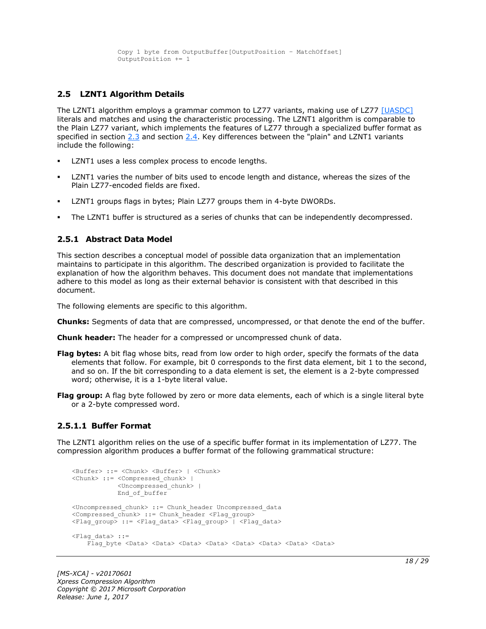```
 Copy 1 byte from OutputBuffer[OutputPosition – MatchOffset]
 OutputPosition += 1
```
#### <span id="page-17-0"></span>**2.5 LZNT1 Algorithm Details**

The LZNT1 algorithm employs a grammar common to LZ77 variants, making use of LZ77 [\[UASDC\]](https://go.microsoft.com/fwlink/?LinkId=90549) literals and matches and using the characteristic processing. The LZNT1 algorithm is comparable to the Plain LZ77 variant, which implements the features of LZ77 through a specialized buffer format as specified in section [2.3](#page-14-0) and section [2.4.](#page-15-0) Key differences between the "plain" and LZNT1 variants include the following:

- LZNT1 uses a less complex process to encode lengths.
- LZNT1 varies the number of bits used to encode length and distance, whereas the sizes of the Plain LZ77-encoded fields are fixed.
- LZNT1 groups flags in bytes; Plain LZ77 groups them in 4-byte DWORDs.
- The LZNT1 buffer is structured as a series of chunks that can be independently decompressed.

#### <span id="page-17-1"></span>**2.5.1 Abstract Data Model**

This section describes a conceptual model of possible data organization that an implementation maintains to participate in this algorithm. The described organization is provided to facilitate the explanation of how the algorithm behaves. This document does not mandate that implementations adhere to this model as long as their external behavior is consistent with that described in this document.

The following elements are specific to this algorithm.

- **Chunks:** Segments of data that are compressed, uncompressed, or that denote the end of the buffer.
- **Chunk header:** The header for a compressed or uncompressed chunk of data.
- **Flag bytes:** A bit flag whose bits, read from low order to high order, specify the formats of the data elements that follow. For example, bit 0 corresponds to the first data element, bit 1 to the second, and so on. If the bit corresponding to a data element is set, the element is a 2-byte compressed word; otherwise, it is a 1-byte literal value.
- **Flag group:** A flag byte followed by zero or more data elements, each of which is a single literal byte or a 2-byte compressed word.

#### <span id="page-17-2"></span>**2.5.1.1 Buffer Format**

The LZNT1 algorithm relies on the use of a specific buffer format in its implementation of LZ77. The compression algorithm produces a buffer format of the following grammatical structure:

```
<Buffer> ::= <Chunk> <Buffer> | <Chunk>
<Chunk> ::= <Compressed_chunk> | 
             <Uncompressed_chunk> |
             End_of_buffer
<Uncompressed_chunk> ::= Chunk_header Uncompressed_data
<Compressed chunk> ::= Chunk header <Flag_group>
<Flag_group> ::= <Flag_data> <Flag_group> | <Flag_data>
<Flag_data> ::=
    Flag byte <Data> <Data> <Data> <Data> <Data> <Data> <Data> <Data> <Data> <Data>
```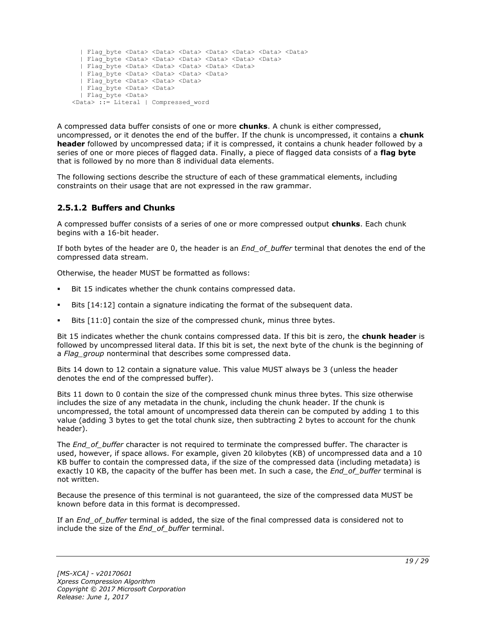```
 | Flag_byte <Data> <Data> <Data> <Data> <Data> <Data> <Data>
   | Flag_byte <Data> <Data> <Data> <Data> <Data> <Data>
   | Flag_byte <Data> <Data> <Data> <Data> <Data>
   | Flag_byte <Data> <Data> <Data> <Data>
   | Flag_byte <Data> <Data> <Data> 
   | Flag_byte <Data> <Data>
   | Flag_byte <Data> 
<Data> ::= Literal | Compressed_word
```
A compressed data buffer consists of one or more **chunks**. A chunk is either compressed, uncompressed, or it denotes the end of the buffer. If the chunk is uncompressed, it contains a **chunk header** followed by uncompressed data; if it is compressed, it contains a chunk header followed by a series of one or more pieces of flagged data. Finally, a piece of flagged data consists of a **flag byte** that is followed by no more than 8 individual data elements.

The following sections describe the structure of each of these grammatical elements, including constraints on their usage that are not expressed in the raw grammar.

#### <span id="page-18-0"></span>**2.5.1.2 Buffers and Chunks**

A compressed buffer consists of a series of one or more compressed output **chunks**. Each chunk begins with a 16-bit header.

If both bytes of the header are 0, the header is an *End\_of\_buffer* terminal that denotes the end of the compressed data stream.

Otherwise, the header MUST be formatted as follows:

- Bit 15 indicates whether the chunk contains compressed data.
- Bits [14:12] contain a signature indicating the format of the subsequent data.
- Bits [11:0] contain the size of the compressed chunk, minus three bytes.

Bit 15 indicates whether the chunk contains compressed data. If this bit is zero, the **chunk header** is followed by uncompressed literal data. If this bit is set, the next byte of the chunk is the beginning of a *Flag\_group* nonterminal that describes some compressed data.

Bits 14 down to 12 contain a signature value. This value MUST always be 3 (unless the header denotes the end of the compressed buffer).

Bits 11 down to 0 contain the size of the compressed chunk minus three bytes. This size otherwise includes the size of any metadata in the chunk, including the chunk header. If the chunk is uncompressed, the total amount of uncompressed data therein can be computed by adding 1 to this value (adding 3 bytes to get the total chunk size, then subtracting 2 bytes to account for the chunk header).

The *End\_of\_buffer* character is not required to terminate the compressed buffer. The character is used, however, if space allows. For example, given 20 kilobytes (KB) of uncompressed data and a 10 KB buffer to contain the compressed data, if the size of the compressed data (including metadata) is exactly 10 KB, the capacity of the buffer has been met. In such a case, the *End\_of\_buffer* terminal is not written.

Because the presence of this terminal is not guaranteed, the size of the compressed data MUST be known before data in this format is decompressed.

If an *End\_of\_buffer* terminal is added, the size of the final compressed data is considered not to include the size of the *End\_of\_buffer* terminal.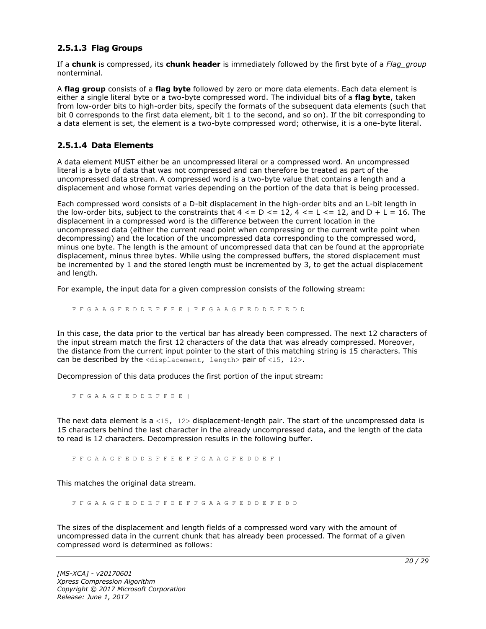#### <span id="page-19-0"></span>**2.5.1.3 Flag Groups**

If a **chunk** is compressed, its **chunk header** is immediately followed by the first byte of a *Flag\_group* nonterminal.

A **flag group** consists of a **flag byte** followed by zero or more data elements. Each data element is either a single literal byte or a two-byte compressed word. The individual bits of a **flag byte**, taken from low-order bits to high-order bits, specify the formats of the subsequent data elements (such that bit 0 corresponds to the first data element, bit 1 to the second, and so on). If the bit corresponding to a data element is set, the element is a two-byte compressed word; otherwise, it is a one-byte literal.

#### <span id="page-19-1"></span>**2.5.1.4 Data Elements**

A data element MUST either be an uncompressed literal or a compressed word. An uncompressed literal is a byte of data that was not compressed and can therefore be treated as part of the uncompressed data stream. A compressed word is a two-byte value that contains a length and a displacement and whose format varies depending on the portion of the data that is being processed.

Each compressed word consists of a D-bit displacement in the high-order bits and an L-bit length in the low-order bits, subject to the constraints that  $4 \leq D \leq 12$ ,  $4 \leq L \leq 12$ , and  $D + L = 16$ . The displacement in a compressed word is the difference between the current location in the uncompressed data (either the current read point when compressing or the current write point when decompressing) and the location of the uncompressed data corresponding to the compressed word, minus one byte. The length is the amount of uncompressed data that can be found at the appropriate displacement, minus three bytes. While using the compressed buffers, the stored displacement must be incremented by 1 and the stored length must be incremented by 3, to get the actual displacement and length.

For example, the input data for a given compression consists of the following stream:

F F G A A G F E D D E F F E E | F F G A A G F E D D E F E D D

In this case, the data prior to the vertical bar has already been compressed. The next 12 characters of the input stream match the first 12 characters of the data that was already compressed. Moreover, the distance from the current input pointer to the start of this matching string is 15 characters. This can be described by the  $\langle$ displacement, length> pair of  $\langle$ 15, 12>.

Decompression of this data produces the first portion of the input stream:

F F G A A G F E D D E F F E E |

The next data element is a <15,  $12$  bisplacement-length pair. The start of the uncompressed data is 15 characters behind the last character in the already uncompressed data, and the length of the data to read is 12 characters. Decompression results in the following buffer.

F F G A A G F E D D E F F E E F F G A A G F E D D E F |

This matches the original data stream.

F F G A A G F E D D E F F E E F F G A A G F E D D E F E D D

The sizes of the displacement and length fields of a compressed word vary with the amount of uncompressed data in the current chunk that has already been processed. The format of a given compressed word is determined as follows: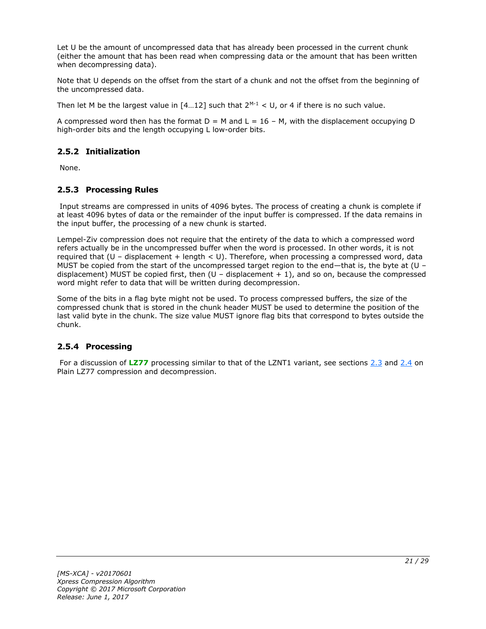Let U be the amount of uncompressed data that has already been processed in the current chunk (either the amount that has been read when compressing data or the amount that has been written when decompressing data).

Note that U depends on the offset from the start of a chunk and not the offset from the beginning of the uncompressed data.

Then let M be the largest value in  $[4...12]$  such that  $2^{M-1} < U$ , or 4 if there is no such value.

A compressed word then has the format  $D = M$  and  $L = 16 - M$ , with the displacement occupying D high-order bits and the length occupying L low-order bits.

#### <span id="page-20-0"></span>**2.5.2 Initialization**

None.

#### <span id="page-20-1"></span>**2.5.3 Processing Rules**

Input streams are compressed in units of 4096 bytes. The process of creating a chunk is complete if at least 4096 bytes of data or the remainder of the input buffer is compressed. If the data remains in the input buffer, the processing of a new chunk is started.

Lempel-Ziv compression does not require that the entirety of the data to which a compressed word refers actually be in the uncompressed buffer when the word is processed. In other words, it is not required that  $(U -$  displacement + length < U). Therefore, when processing a compressed word, data MUST be copied from the start of the uncompressed target region to the end—that is, the byte at (U – displacement) MUST be copied first, then  $(U -$  displacement  $+ 1)$ , and so on, because the compressed word might refer to data that will be written during decompression.

Some of the bits in a flag byte might not be used. To process compressed buffers, the size of the compressed chunk that is stored in the chunk header MUST be used to determine the position of the last valid byte in the chunk. The size value MUST ignore flag bits that correspond to bytes outside the chunk.

#### <span id="page-20-2"></span>**2.5.4 Processing**

For a discussion of [LZ77](#page-4-4) processing similar to that of the LZNT1 variant, see sections [2.3](#page-14-0) and [2.4](#page-15-0) on Plain LZ77 compression and decompression.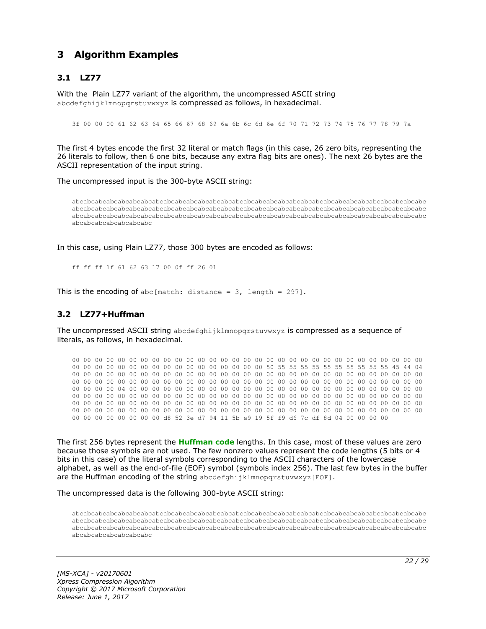### <span id="page-21-0"></span>**3 Algorithm Examples**

#### <span id="page-21-1"></span>**3.1 LZ77**

With the Plain LZ77 variant of the algorithm, the uncompressed ASCII string abcdefghijklmnopgrstuvwxyz is compressed as follows, in hexadecimal.

3f 00 00 00 61 62 63 64 65 66 67 68 69 6a 6b 6c 6d 6e 6f 70 71 72 73 74 75 76 77 78 79 7a

The first 4 bytes encode the first 32 literal or match flags (in this case, 26 zero bits, representing the 26 literals to follow, then 6 one bits, because any extra flag bits are ones). The next 26 bytes are the ASCII representation of the input string.

The uncompressed input is the 300-byte ASCII string:

abcabcabcabcabcabcabcabcabcabcabcabcabcabcabcabcabcabcabcabcabcabcabcabcabcabcabcabcabcabcabc abcabcabcabcabcabcabcabcabcabcabcabcabcabcabcabcabcabcabcabcabcabcabcabcabcabcabcabcabcabcabc abcabcabcabcabcabcabcabcabcabcabcabcabcabcabcabcabcabcabcabcabcabcabcabcabcabcabcabcabcabcabc abcabcabcabcabcabcabc

In this case, using Plain LZ77, those 300 bytes are encoded as follows:

ff ff ff 1f 61 62 63 17 00 0f ff 26 01

This is the encoding of abc [match: distance =  $3$ , length = 297].

#### <span id="page-21-2"></span>**3.2 LZ77+Huffman**

The uncompressed ASCII string abcdefghijklmnopqrstuvwxyz is compressed as a sequence of literals, as follows, in hexadecimal.

00 00 00 00 00 00 00 00 00 00 00 00 00 00 00 00 00 00 00 00 00 00 00 00 00 00 00 00 00 00 00 00 00 00 00 00 00 00 00 00 00 00 00 00 00 00 00 00 50 55 55 55 55 55 55 55 55 55 55 45 44 04 00 00 00 00 00 00 00 00 00 00 00 00 00 00 00 00 00 00 00 00 00 00 00 00 00 00 00 00 00 00 00 00 00 00 00 00 00 00 00 00 00 00 00 00 00 00 00 00 00 00 00 00 00 00 00 00 00 00 00 00 00 00 00 00 00 00 04 00 00 00 00 00 00 00 00 00 00 00 00 00 00 00 00 00 00 00 00 00 00 00 00 00 00 00 00 00 00 00 00 00 00 00 00 00 00 00 00 00 00 00 00 00 00 00 00 00 00 00 00 00 00 00 00 00 00 00 00 00 00 00 00 00 00 00 00 00 00 00 00 00 00 00 00 00 00 00 00 00 00 00 00 00 00 00 00 00 00 00 00 00 00 00 00 00 00 00 00 00 00 00 00 00 00 00 00 00 00 00 00 00 00 00 00 00 00 00 00 00 00 00 00 00 00 00 d8 52 3e d7 94 11 5b e9 19 5f f9 d6 7c df 8d 04 00 00 00 00

The first 256 bytes represent the **[Huffman code](#page-4-8)** lengths. In this case, most of these values are zero because those symbols are not used. The few nonzero values represent the code lengths (5 bits or 4 bits in this case) of the literal symbols corresponding to the ASCII characters of the lowercase alphabet, as well as the end-of-file (EOF) symbol (symbols index 256). The last few bytes in the buffer are the Huffman encoding of the string abcdefghijklmnopgrstuvwxyz[EOF].

The uncompressed data is the following 300-byte ASCII string:

abcabcabcabcabcabcabcabcabcabcabcabcabcabcabcabcabcabcabcabcabcabcabcabcabcabcabcabcabcabcabc abcabcabcabcabcabcabcabcabcabcabcabcabcabcabcabcabcabcabcabcabcabcabcabcabcabcabcabcabcabcabc abcabcabcabcabcabcabcabcabcabcabcabcabcabcabcabcabcabcabcabcabcabcabcabcabcabcabcabcabcabcabc abcabcabcabcabcabcabc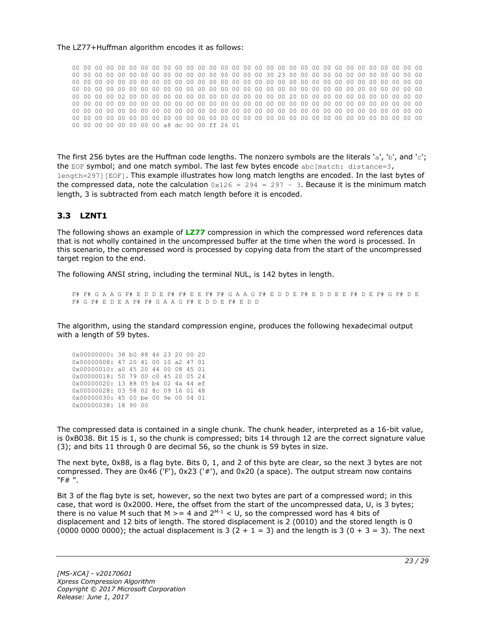#### The LZ77+Huffman algorithm encodes it as follows:

00 00 00 00 00 00 00 00 00 00 00 00 00 00 00 00 00 00 00 00 00 00 00 00 00 00 00 00 00 00 00 00 00 00 00 00 00 00 00 00 00 00 00 00 00 00 00 00 30 23 00 00 00 00 00 00 00 00 00 00 00 00 00 00 00 00 00 00 00 00 00 00 00 00 00 00 00 00 00 00 00 00 00 00 00 00 00 00 00 00 00 00 00 00 00 00 00 00 00 00 00 00 00 00 00 00 00 00 00 00 00 00 00 00 00 00 00 00 00 00 00 00 00 00 00 00 00 00 02 00 00 00 00 00 00 00 00 00 00 00 00 00 00 20 00 00 00 00 00 00 00 00 00 00 00 00 00 00 00 00 00 00 00 00 00 00 00 00 00 00 00 00 00 00 00 00 00 00 00 00 00 00 00 00 00 00 00 00 00 00 00 00 00 00 00 00 00 00 00 00 00 00 00 00 00 00 00 00 00 00 00 00 00 00 00 00 00 00 00 00 00 00 00 00 00 00 00 00 00 00 00 00 00 00 00 00 00 00 00 00 00 00 00 00 00 00 00 00 00 00 00 00 00 00 00 00 a8 dc 00 00 ff 26 01

The first 256 bytes are the Huffman code lengths. The nonzero symbols are the literals 'a', 'b', and 'c'; the EOF symbol; and one match symbol. The last few bytes encode abc[match: distance=3, length=297][EOF]. This example illustrates how long match lengths are encoded. In the last bytes of the compressed data, note the calculation  $0x126 = 294 = 297 - 3$ . Because it is the minimum match length, 3 is subtracted from each match length before it is encoded.

#### <span id="page-22-0"></span>**3.3 LZNT1**

The following shows an example of **[LZ77](#page-4-4)** compression in which the compressed word references data that is not wholly contained in the uncompressed buffer at the time when the word is processed. In this scenario, the compressed word is processed by copying data from the start of the uncompressed target region to the end.

The following ANSI string, including the terminal NUL, is 142 bytes in length.

F# F# G A A G F# E D D E F# F# E E F# F# G A A G F# E D D E F# E D D E E F# D E F# G F# D E F# G F# E D E A F# F# G A A G F# E D D E F# E D D

The algorithm, using the standard compression engine, produces the following hexadecimal output with a length of 59 bytes.

| 0x00000000: 38 b0 88 46 23 20 00 20 |  |  |  |  |
|-------------------------------------|--|--|--|--|
| 0x00000008: 47 20 41 00 10 a2 47 01 |  |  |  |  |
| 0x00000010: a0 45 20 44 00 08 45 01 |  |  |  |  |
| 0x00000018: 50 79 00 c0 45 20 05 24 |  |  |  |  |
| 0x00000020: 13 88 05 b4 02 4a 44 ef |  |  |  |  |
| 0x00000028: 03 58 02 8c 09 16 01 48 |  |  |  |  |
| 0x00000030: 45 00 be 00 9e 00 04 01 |  |  |  |  |
| 0x00000038: 18 90 00                |  |  |  |  |

The compressed data is contained in a single chunk. The chunk header, interpreted as a 16-bit value, is 0xB038. Bit 15 is 1, so the chunk is compressed; bits 14 through 12 are the correct signature value (3); and bits 11 through 0 are decimal 56, so the chunk is 59 bytes in size.

The next byte, 0x88, is a flag byte. Bits 0, 1, and 2 of this byte are clear, so the next 3 bytes are not compressed. They are 0x46 ('F'), 0x23 ('#'), and 0x20 (a space). The output stream now contains "F# ".

Bit 3 of the flag byte is set, however, so the next two bytes are part of a compressed word; in this case, that word is 0x2000. Here, the offset from the start of the uncompressed data, U, is 3 bytes; there is no value M such that M  $>= 4$  and  $2^{M-1} < U$ , so the compressed word has 4 bits of displacement and 12 bits of length. The stored displacement is 2 (0010) and the stored length is 0 (0000 0000 0000); the actual displacement is 3 (2 + 1 = 3) and the length is 3 (0 + 3 = 3). The next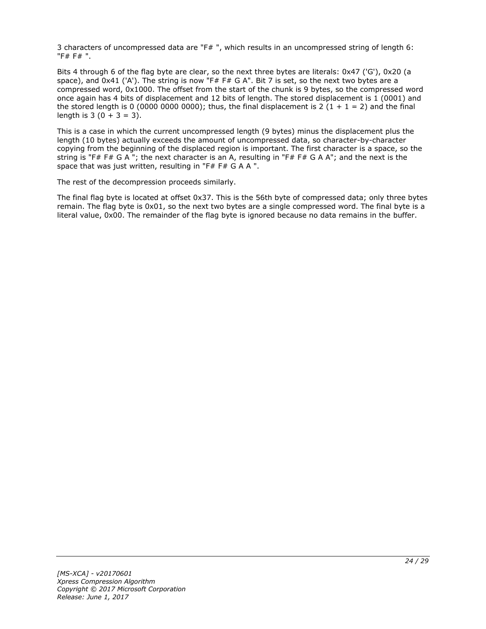3 characters of uncompressed data are "F# ", which results in an uncompressed string of length 6: "F# F# ".

Bits 4 through 6 of the flag byte are clear, so the next three bytes are literals: 0x47 ('G'), 0x20 (a space), and 0x41 ('A'). The string is now "F# F# G A". Bit 7 is set, so the next two bytes are a compressed word, 0x1000. The offset from the start of the chunk is 9 bytes, so the compressed word once again has 4 bits of displacement and 12 bits of length. The stored displacement is 1 (0001) and the stored length is 0 (0000 0000 0000); thus, the final displacement is 2 (1 + 1 = 2) and the final length is  $3(0 + 3 = 3)$ .

This is a case in which the current uncompressed length (9 bytes) minus the displacement plus the length (10 bytes) actually exceeds the amount of uncompressed data, so character-by-character copying from the beginning of the displaced region is important. The first character is a space, so the string is "F# F# G A "; the next character is an A, resulting in "F# F# G A A"; and the next is the space that was just written, resulting in "F# F# G A A ".

The rest of the decompression proceeds similarly.

The final flag byte is located at offset 0x37. This is the 56th byte of compressed data; only three bytes remain. The flag byte is 0x01, so the next two bytes are a single compressed word. The final byte is a literal value, 0x00. The remainder of the flag byte is ignored because no data remains in the buffer.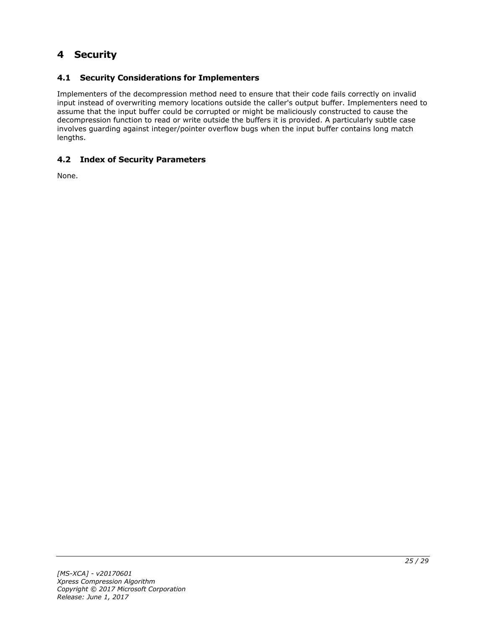### <span id="page-24-0"></span>**4 Security**

#### <span id="page-24-1"></span>**4.1 Security Considerations for Implementers**

Implementers of the decompression method need to ensure that their code fails correctly on invalid input instead of overwriting memory locations outside the caller's output buffer. Implementers need to assume that the input buffer could be corrupted or might be maliciously constructed to cause the decompression function to read or write outside the buffers it is provided. A particularly subtle case involves guarding against integer/pointer overflow bugs when the input buffer contains long match lengths.

#### <span id="page-24-2"></span>**4.2 Index of Security Parameters**

None.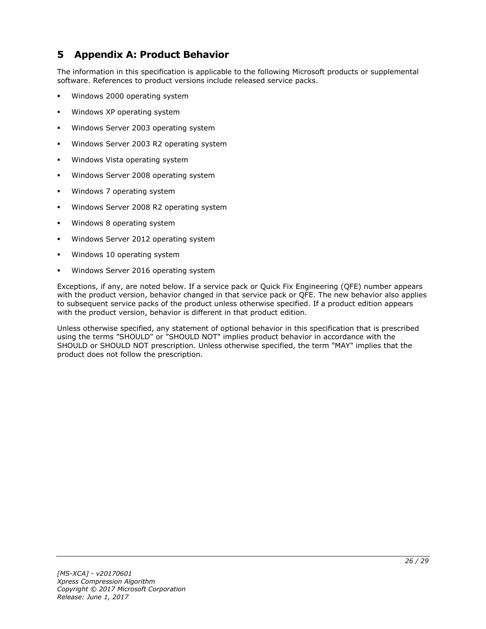### <span id="page-25-0"></span>**5 Appendix A: Product Behavior**

The information in this specification is applicable to the following Microsoft products or supplemental software. References to product versions include released service packs.

- Windows 2000 operating system
- Windows XP operating system
- Windows Server 2003 operating system
- Windows Server 2003 R2 operating system
- Windows Vista operating system
- Windows Server 2008 operating system
- Windows 7 operating system
- Windows Server 2008 R2 operating system
- Windows 8 operating system
- Windows Server 2012 operating system
- Windows 10 operating system
- Windows Server 2016 operating system

Exceptions, if any, are noted below. If a service pack or Quick Fix Engineering (QFE) number appears with the product version, behavior changed in that service pack or QFE. The new behavior also applies to subsequent service packs of the product unless otherwise specified. If a product edition appears with the product version, behavior is different in that product edition.

Unless otherwise specified, any statement of optional behavior in this specification that is prescribed using the terms "SHOULD" or "SHOULD NOT" implies product behavior in accordance with the SHOULD or SHOULD NOT prescription. Unless otherwise specified, the term "MAY" implies that the product does not follow the prescription.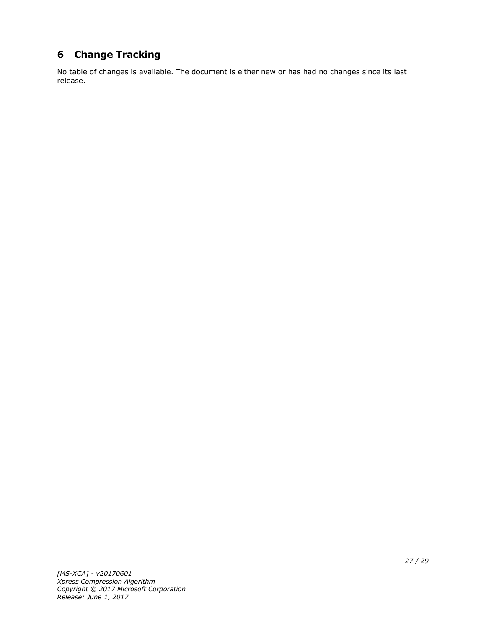# <span id="page-26-0"></span>**6 Change Tracking**

No table of changes is available. The document is either new or has had no changes since its last release.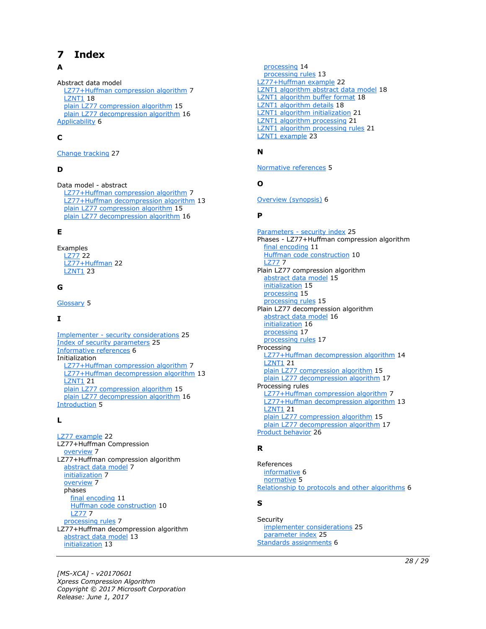# <span id="page-27-0"></span>**7 Index**

#### **A**

Abstract data model [LZ77+Huffman compression algorithm](#page-6-2) 7 [LZNT1](#page-17-1) 18 [plain LZ77 compression algorithm](#page-14-1) 15 [plain LZ77 decompression algorithm](#page-15-1) 16 [Applicability](#page-5-3) 6

#### **C**

[Change tracking](#page-26-0) 27

#### **D**

Data model - abstract [LZ77+Huffman compression algorithm](#page-6-2) 7 [LZ77+Huffman decompression algorithm](#page-12-1) 13 [plain LZ77 compression algorithm](#page-14-1) 15 [plain LZ77 decompression algorithm](#page-15-1) 16

#### **E**

Examples [LZ77](#page-21-1) 22 [LZ77+Huffman](#page-21-2) 22 [LZNT1](#page-22-0) 23

#### **G**

[Glossary](#page-4-1) 5

#### **I**

Implementer - [security considerations](#page-24-1) 25 [Index of security parameters](#page-24-2) 25 [Informative references](#page-5-0) 6 Initialization [LZ77+Huffman compression algorithm](#page-6-3) 7 [LZ77+Huffman decompression algorithm](#page-12-2) 13 [LZNT1](#page-20-0) 21 [plain LZ77 compression algorithm](#page-14-2) 15 [plain LZ77 decompression algorithm](#page-15-2) 16 [Introduction](#page-4-0) 5

#### **L**

[LZ77 example](#page-21-1) 22 LZ77+Huffman Compression [overview](#page-6-1) 7 LZ77+Huffman compression algorithm [abstract data model](#page-6-2) 7 [initialization](#page-6-3) 7 [overview](#page-6-1) 7 phases [final encoding](#page-10-0) 11 [Huffman code construction](#page-9-0) 10 [LZ77](#page-6-6) 7 [processing rules](#page-6-4) 7 LZ77+Huffman decompression algorithm [abstract data model](#page-12-1) 13 [initialization](#page-12-2) 13

 [processing](#page-13-0) 14 [processing rules](#page-12-3) 13 [LZ77+Huffman example](#page-21-2) 22 [LZNT1 algorithm abstract data model](#page-17-1) 18 [LZNT1 algorithm buffer format](#page-17-2) 18 [LZNT1 algorithm details](#page-17-0) 18 [LZNT1 algorithm initialization](#page-20-0) 21 [LZNT1 algorithm processing](#page-20-2) 21 [LZNT1 algorithm processing rules](#page-20-1) 21 [LZNT1 example](#page-22-0) 23

#### **N**

[Normative references](#page-4-3) 5

#### **O**

[Overview \(synopsis\)](#page-5-1) 6

#### **P**

Parameters - [security index](#page-24-2) 25 Phases - LZ77+Huffman compression algorithm [final encoding](#page-10-0) 11 [Huffman code construction](#page-9-0) 10 [LZ77](#page-6-6) 7 Plain LZ77 compression algorithm [abstract data model](#page-14-1) 15 [initialization](#page-14-2) 15 [processing](#page-14-4) 15 [processing rules](#page-14-3) 15 Plain LZ77 decompression algorithm [abstract data model](#page-15-1) 16 [initialization](#page-15-2) 16 [processing](#page-16-1) 17 [processing rules](#page-16-0) 17 Processing [LZ77+Huffman decompression algorithm](#page-13-0) 14 **[LZNT1](#page-20-2) 21** [plain LZ77 compression algorithm](#page-14-4) 15 [plain LZ77 decompression algorithm](#page-16-1) 17 Processing rules [LZ77+Huffman compression algorithm](#page-6-4) 7 [LZ77+Huffman decompression algorithm](#page-12-3) 13 [LZNT1](#page-20-1) 21 [plain LZ77 compression algorithm](#page-14-3) 15 [plain LZ77 decompression algorithm](#page-16-0) 17 [Product behavior](#page-25-0) 26

#### **R**

References [informative](#page-5-0) 6 [normative](#page-4-3) 5 [Relationship to protocols and other algorithms](#page-5-2) 6

#### **S**

**Security**  [implementer considerations](#page-24-1) 25 [parameter index](#page-24-2) 25 [Standards assignments](#page-5-4) 6

*[MS-XCA] - v20170601 Xpress Compression Algorithm Copyright © 2017 Microsoft Corporation Release: June 1, 2017*